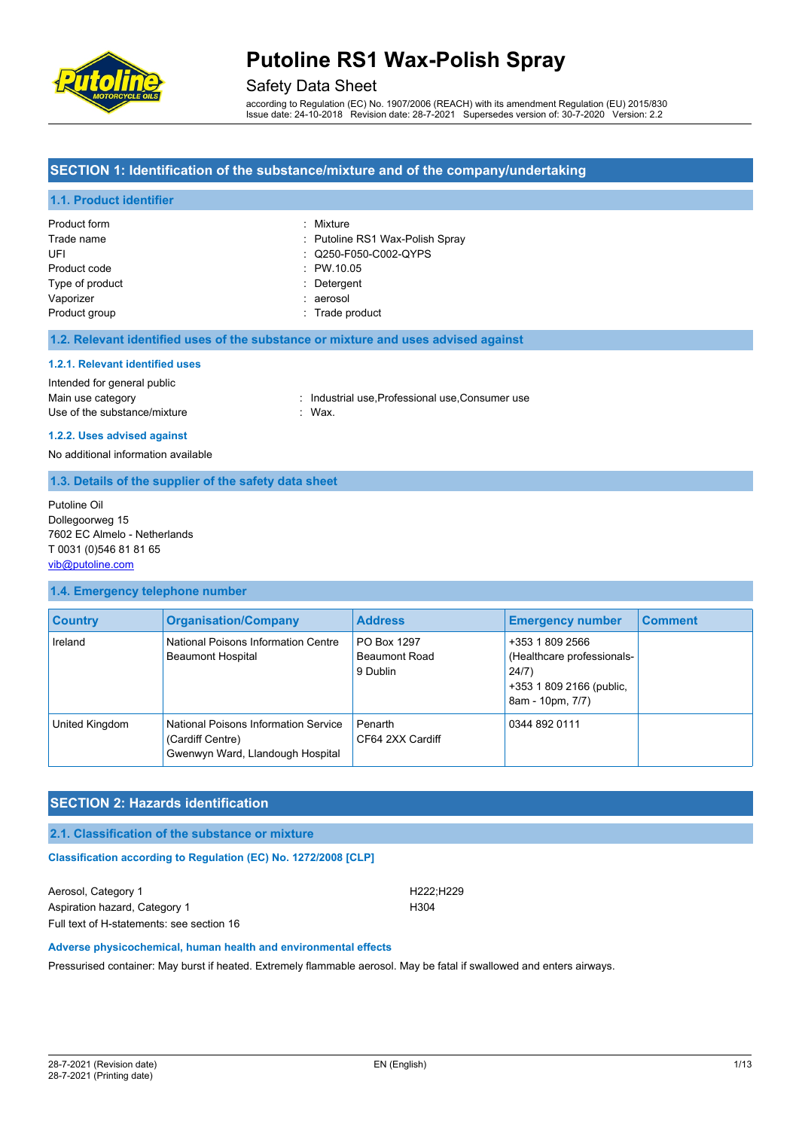

### Safety Data Sheet

according to Regulation (EC) No. 1907/2006 (REACH) with its amendment Regulation (EU) 2015/830 Issue date: 24-10-2018 Revision date: 28-7-2021 Supersedes version of: 30-7-2020 Version: 2.2

#### **SECTION 1: Identification of the substance/mixture and of the company/undertaking**

#### **1.1. Product identifier**

| Product form    | : Mixture                       |
|-----------------|---------------------------------|
| Trade name      | : Putoline RS1 Wax-Polish Spray |
| UFI             | : Q250-F050-C002-QYPS           |
| Product code    | : PW.10.05                      |
| Type of product | : Detergent                     |
| Vaporizer       | : aerosol                       |
| Product group   | : Trade product                 |

#### **1.2. Relevant identified uses of the substance or mixture and uses advised against**

#### **1.2.1. Relevant identified uses**

#### Intended for general public

Main use category **industrial use, Professional use, Consumer use** in Main use category Use of the substance/mixture in the substance of the substance of the substance of the substance of the substance of the substance of the substance of the substance of the substance of the substance of the substance of the

# **1.2.2. Uses advised against**

No additional information available

#### **1.3. Details of the supplier of the safety data sheet**

Putoline Oil Dollegoorweg 15 7602 EC Almelo - Netherlands T 0031 (0)546 81 81 65 [vib@putoline.com](mailto:vib@putoline.com)

#### **1.4. Emergency telephone number**

| <b>Country</b> | <b>Organisation/Company</b>                                                                  | <b>Address</b>                                  | <b>Emergency number</b>                                                                                | <b>Comment</b> |
|----------------|----------------------------------------------------------------------------------------------|-------------------------------------------------|--------------------------------------------------------------------------------------------------------|----------------|
| Ireland        | National Poisons Information Centre<br><b>Beaumont Hospital</b>                              | PO Box 1297<br><b>Beaumont Road</b><br>9 Dublin | +353 1 809 2566<br>(Healthcare professionals-<br>24/7)<br>+353 1 809 2166 (public,<br>8am - 10pm, 7/7) |                |
| United Kingdom | National Poisons Information Service<br>(Cardiff Centre)<br>Gwenwyn Ward, Llandough Hospital | Penarth<br>CF64 2XX Cardiff                     | 0344 892 0111                                                                                          |                |

### **SECTION 2: Hazards identification**

**2.1. Classification of the substance or mixture**

**Classification according to Regulation (EC) No. 1272/2008 [CLP]** 

Aerosol, Category 1 **H222**;H229 Aspiration hazard, Category 1 H304 Full text of H-statements: see section 16

#### **Adverse physicochemical, human health and environmental effects**

Pressurised container: May burst if heated. Extremely flammable aerosol. May be fatal if swallowed and enters airways.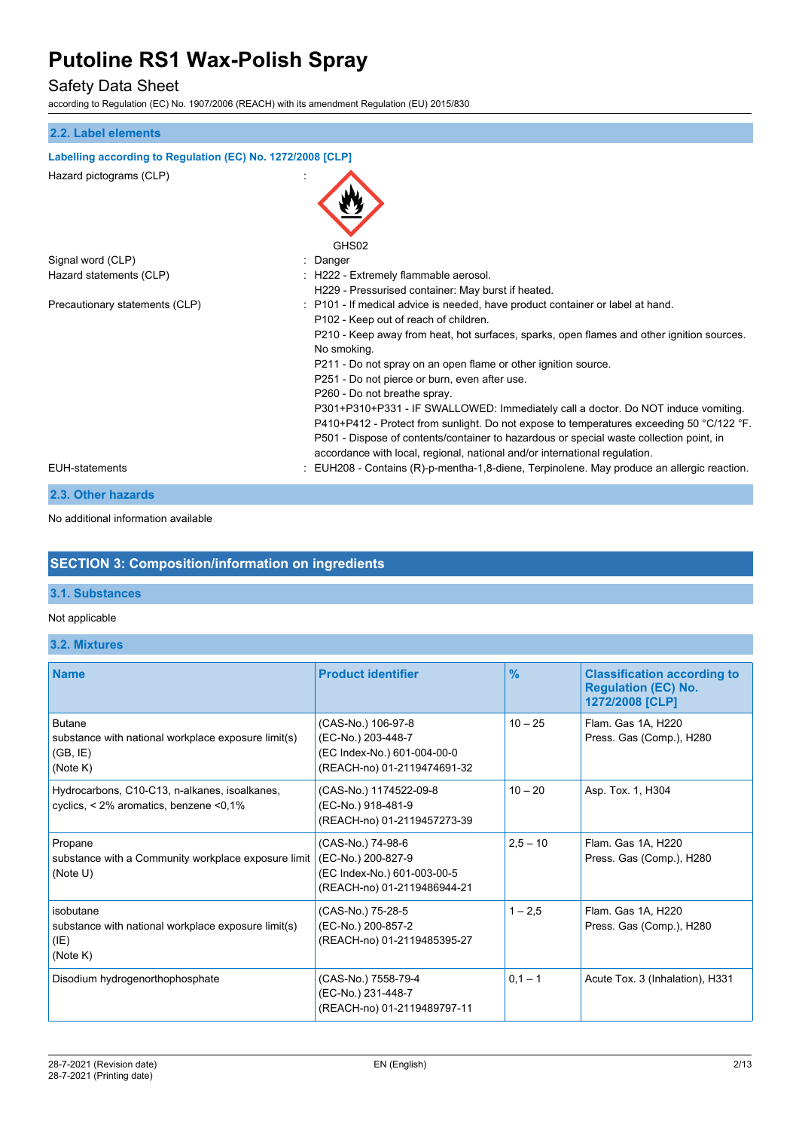## Safety Data Sheet

according to Regulation (EC) No. 1907/2006 (REACH) with its amendment Regulation (EU) 2015/830

| 2.2. Label elements                                        |                                                                                                                                                                                                                                                                                                                                                                                                                                                                                                                                                                                                                                                                                                                                                  |
|------------------------------------------------------------|--------------------------------------------------------------------------------------------------------------------------------------------------------------------------------------------------------------------------------------------------------------------------------------------------------------------------------------------------------------------------------------------------------------------------------------------------------------------------------------------------------------------------------------------------------------------------------------------------------------------------------------------------------------------------------------------------------------------------------------------------|
| Labelling according to Regulation (EC) No. 1272/2008 [CLP] |                                                                                                                                                                                                                                                                                                                                                                                                                                                                                                                                                                                                                                                                                                                                                  |
| Hazard pictograms (CLP)                                    |                                                                                                                                                                                                                                                                                                                                                                                                                                                                                                                                                                                                                                                                                                                                                  |
|                                                            | GHS02                                                                                                                                                                                                                                                                                                                                                                                                                                                                                                                                                                                                                                                                                                                                            |
| Signal word (CLP)                                          | Danger                                                                                                                                                                                                                                                                                                                                                                                                                                                                                                                                                                                                                                                                                                                                           |
| Hazard statements (CLP)                                    | : H222 - Extremely flammable aerosol.<br>H229 - Pressurised container: May burst if heated.                                                                                                                                                                                                                                                                                                                                                                                                                                                                                                                                                                                                                                                      |
| Precautionary statements (CLP)                             | : P101 - If medical advice is needed, have product container or label at hand.<br>P102 - Keep out of reach of children.<br>P210 - Keep away from heat, hot surfaces, sparks, open flames and other ignition sources.<br>No smoking.<br>P211 - Do not spray on an open flame or other ignition source.<br>P251 - Do not pierce or burn, even after use.<br>P260 - Do not breathe spray.<br>P301+P310+P331 - IF SWALLOWED: Immediately call a doctor. Do NOT induce vomiting.<br>P410+P412 - Protect from sunlight. Do not expose to temperatures exceeding 50 °C/122 °F.<br>P501 - Dispose of contents/container to hazardous or special waste collection point, in<br>accordance with local, regional, national and/or international regulation. |
| <b>EUH-statements</b>                                      | EUH208 - Contains (R)-p-mentha-1,8-diene, Terpinolene. May produce an allergic reaction.                                                                                                                                                                                                                                                                                                                                                                                                                                                                                                                                                                                                                                                         |
| 2.3. Other hazards                                         |                                                                                                                                                                                                                                                                                                                                                                                                                                                                                                                                                                                                                                                                                                                                                  |

No additional information available

### **SECTION 3: Composition/information on ingredients**

#### **3.1. Substances**

Not applicable

**3.2. Mixtures**

| <b>Name</b>                                                                                          | <b>Product identifier</b>                                                                              | $\frac{9}{6}$ | <b>Classification according to</b><br><b>Regulation (EC) No.</b><br>1272/2008 [CLP] |
|------------------------------------------------------------------------------------------------------|--------------------------------------------------------------------------------------------------------|---------------|-------------------------------------------------------------------------------------|
| <b>Butane</b><br>substance with national workplace exposure limit(s)<br>(GB, IE)<br>(Note K)         | (CAS-No.) 106-97-8<br>(EC-No.) 203-448-7<br>(EC Index-No.) 601-004-00-0<br>(REACH-no) 01-2119474691-32 | $10 - 25$     | Flam. Gas 1A, H220<br>Press. Gas (Comp.), H280                                      |
| Hydrocarbons, C10-C13, n-alkanes, isoalkanes,<br>cyclics, $\leq 2\%$ aromatics, benzene $\leq 0.1\%$ | (CAS-No.) 1174522-09-8<br>(EC-No.) 918-481-9<br>(REACH-no) 01-2119457273-39                            | $10 - 20$     | Asp. Tox. 1, H304                                                                   |
| Propane<br>substance with a Community workplace exposure limit<br>(Note U)                           | (CAS-No.) 74-98-6<br>(EC-No.) 200-827-9<br>(EC Index-No.) 601-003-00-5<br>(REACH-no) 01-2119486944-21  | $2,5 - 10$    | Flam. Gas 1A, H220<br>Press. Gas (Comp.), H280                                      |
| isobutane<br>substance with national workplace exposure limit(s)<br>(IE)<br>(Note K)                 | (CAS-No.) 75-28-5<br>(EC-No.) 200-857-2<br>(REACH-no) 01-2119485395-27                                 | $1 - 2.5$     | Flam. Gas 1A, H220<br>Press. Gas (Comp.), H280                                      |
| Disodium hydrogenorthophosphate                                                                      | (CAS-No.) 7558-79-4<br>(EC-No.) 231-448-7<br>(REACH-no) 01-2119489797-11                               | $0,1 - 1$     | Acute Tox. 3 (Inhalation), H331                                                     |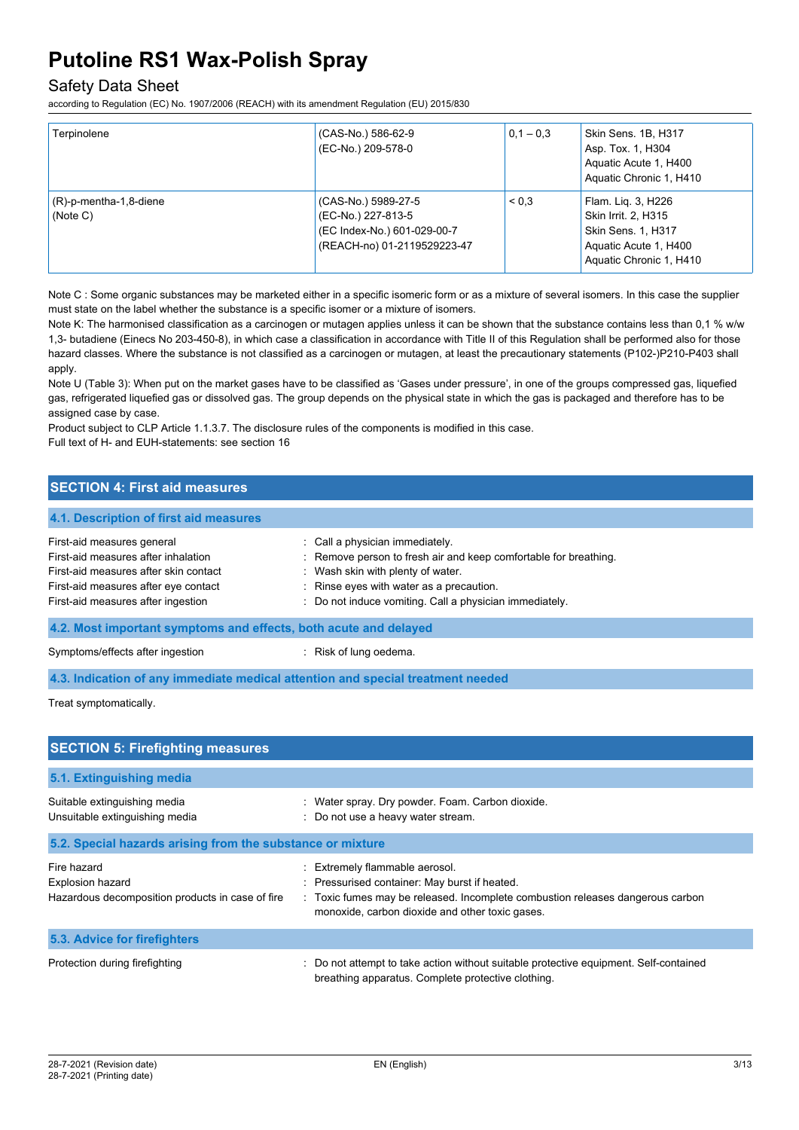## Safety Data Sheet

according to Regulation (EC) No. 1907/2006 (REACH) with its amendment Regulation (EU) 2015/830

| Terpinolene                           | (CAS-No.) 586-62-9<br>(EC-No.) 209-578-0                                                                | $0.1 - 0.3$ | Skin Sens. 1B, H317<br>Asp. Tox. 1, H304<br>Aquatic Acute 1, H400<br>Aquatic Chronic 1, H410                        |
|---------------------------------------|---------------------------------------------------------------------------------------------------------|-------------|---------------------------------------------------------------------------------------------------------------------|
| $(R)$ -p-mentha-1,8-diene<br>(Note C) | (CAS-No.) 5989-27-5<br>(EC-No.) 227-813-5<br>(EC Index-No.) 601-029-00-7<br>(REACH-no) 01-2119529223-47 | < 0.3       | Flam. Lig. 3, H226<br>Skin Irrit. 2, H315<br>Skin Sens. 1, H317<br>Aquatic Acute 1, H400<br>Aquatic Chronic 1, H410 |

Note C : Some organic substances may be marketed either in a specific isomeric form or as a mixture of several isomers. In this case the supplier must state on the label whether the substance is a specific isomer or a mixture of isomers.

Note K: The harmonised classification as a carcinogen or mutagen applies unless it can be shown that the substance contains less than 0.1 % w/w 1,3- butadiene (Einecs No 203-450-8), in which case a classification in accordance with Title II of this Regulation shall be performed also for those hazard classes. Where the substance is not classified as a carcinogen or mutagen, at least the precautionary statements (P102-)P210-P403 shall apply.

Note U (Table 3): When put on the market gases have to be classified as 'Gases under pressure', in one of the groups compressed gas, liquefied gas, refrigerated liquefied gas or dissolved gas. The group depends on the physical state in which the gas is packaged and therefore has to be assigned case by case.

Product subject to CLP Article 1.1.3.7. The disclosure rules of the components is modified in this case. Full text of H- and EUH-statements: see section 16

## **SECTION 4: First aid measures**

## **4.1. Description of first aid measures** First-aid measures general interval in the call a physician immediately. First-aid measures after inhalation : Remove person to fresh air and keep comfortable for breathing. First-aid measures after skin contact : Wash skin with plenty of water. First-aid measures after eye contact : Rinse eyes with water as a precaution. First-aid measures after ingestion : Do not induce vomiting. Call a physician immediately. **4.2. Most important symptoms and effects, both acute and delayed** Symptoms/effects after ingestion : Risk of lung oedema.

**4.3. Indication of any immediate medical attention and special treatment needed**

Treat symptomatically.

| <b>SECTION 5: Firefighting measures</b>                                                    |                                                                                                                                                                                                                      |  |
|--------------------------------------------------------------------------------------------|----------------------------------------------------------------------------------------------------------------------------------------------------------------------------------------------------------------------|--|
| 5.1. Extinguishing media                                                                   |                                                                                                                                                                                                                      |  |
| Suitable extinguishing media<br>Unsuitable extinguishing media                             | : Water spray. Dry powder. Foam. Carbon dioxide.<br>: Do not use a heavy water stream.                                                                                                                               |  |
| 5.2. Special hazards arising from the substance or mixture                                 |                                                                                                                                                                                                                      |  |
| Fire hazard<br><b>Explosion hazard</b><br>Hazardous decomposition products in case of fire | : Extremely flammable aerosol.<br>: Pressurised container: May burst if heated.<br>: Toxic fumes may be released. Incomplete combustion releases dangerous carbon<br>monoxide, carbon dioxide and other toxic gases. |  |
| 5.3. Advice for firefighters                                                               |                                                                                                                                                                                                                      |  |
| Protection during firefighting                                                             | Do not attempt to take action without suitable protective equipment. Self-contained<br>breathing apparatus. Complete protective clothing.                                                                            |  |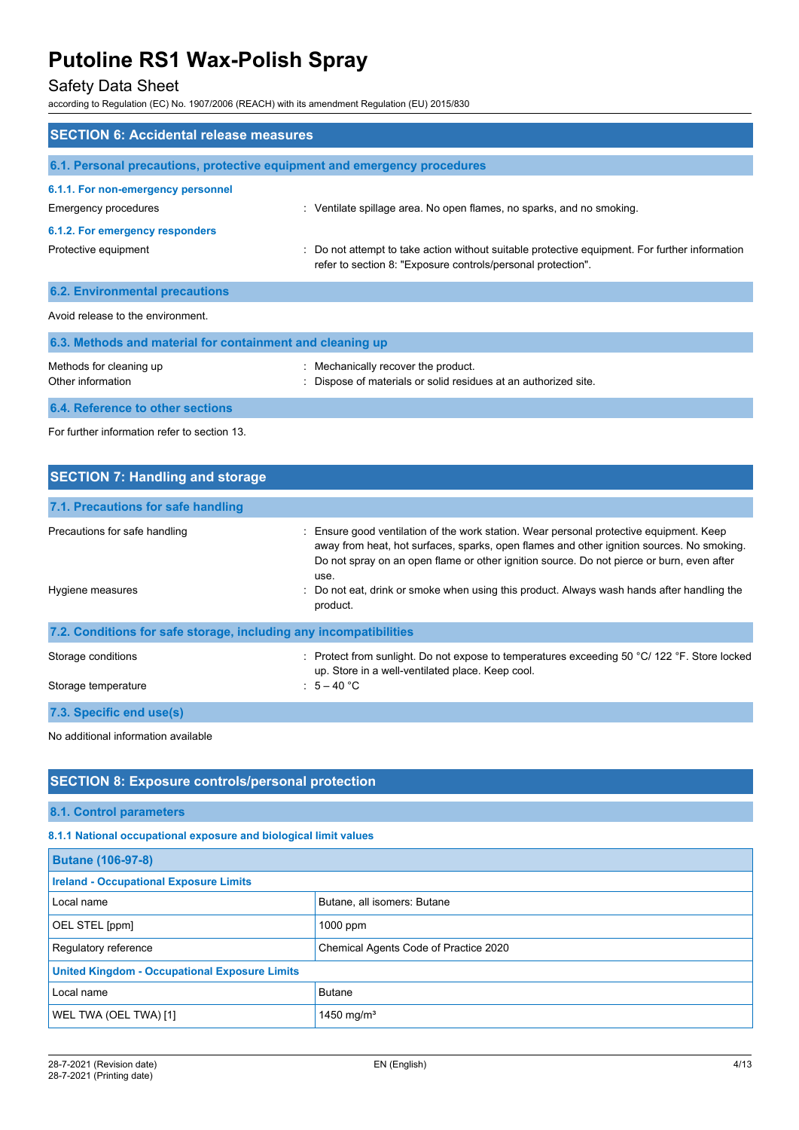## Safety Data Sheet

according to Regulation (EC) No. 1907/2006 (REACH) with its amendment Regulation (EU) 2015/830

| <b>SECTION 6: Accidental release measures</b>                            |                                                                                                                                                                |  |
|--------------------------------------------------------------------------|----------------------------------------------------------------------------------------------------------------------------------------------------------------|--|
| 6.1. Personal precautions, protective equipment and emergency procedures |                                                                                                                                                                |  |
| 6.1.1. For non-emergency personnel                                       |                                                                                                                                                                |  |
| Emergency procedures                                                     | : Ventilate spillage area. No open flames, no sparks, and no smoking.                                                                                          |  |
| 6.1.2. For emergency responders                                          |                                                                                                                                                                |  |
| Protective equipment                                                     | : Do not attempt to take action without suitable protective equipment. For further information<br>refer to section 8: "Exposure controls/personal protection". |  |
| <b>6.2. Environmental precautions</b>                                    |                                                                                                                                                                |  |
| Avoid release to the environment.                                        |                                                                                                                                                                |  |
| 6.3. Methods and material for containment and cleaning up                |                                                                                                                                                                |  |
| Methods for cleaning up<br>Other information                             | Mechanically recover the product.<br>Dispose of materials or solid residues at an authorized site.                                                             |  |
| 6.4. Reference to other sections                                         |                                                                                                                                                                |  |

For further information refer to section 13.

| <b>SECTION 7: Handling and storage</b>                            |                                                                                                                                                                                                                                                                                                                                                                                                     |  |  |
|-------------------------------------------------------------------|-----------------------------------------------------------------------------------------------------------------------------------------------------------------------------------------------------------------------------------------------------------------------------------------------------------------------------------------------------------------------------------------------------|--|--|
| 7.1. Precautions for safe handling                                |                                                                                                                                                                                                                                                                                                                                                                                                     |  |  |
| Precautions for safe handling<br>Hygiene measures                 | : Ensure good ventilation of the work station. Wear personal protective equipment. Keep<br>away from heat, hot surfaces, sparks, open flames and other ignition sources. No smoking.<br>Do not spray on an open flame or other ignition source. Do not pierce or burn, even after<br>use.<br>: Do not eat, drink or smoke when using this product. Always wash hands after handling the<br>product. |  |  |
| 7.2. Conditions for safe storage, including any incompatibilities |                                                                                                                                                                                                                                                                                                                                                                                                     |  |  |
| Storage conditions<br>Storage temperature                         | : Protect from sunlight. Do not expose to temperatures exceeding 50 °C/ 122 °F. Store locked<br>up. Store in a well-ventilated place. Keep cool.<br>$5 - 40$ °C                                                                                                                                                                                                                                     |  |  |
| 7.3. Specific end use(s)                                          |                                                                                                                                                                                                                                                                                                                                                                                                     |  |  |

No additional information available

### **SECTION 8: Exposure controls/personal protection**

#### **8.1. Control parameters**

**8.1.1 National occupational exposure and biological limit values**

| <b>Butane (106-97-8)</b>                             |                                       |
|------------------------------------------------------|---------------------------------------|
| <b>Ireland - Occupational Exposure Limits</b>        |                                       |
| Local name                                           | Butane, all isomers: Butane           |
| OEL STEL [ppm]                                       | $1000$ ppm                            |
| Regulatory reference                                 | Chemical Agents Code of Practice 2020 |
| <b>United Kingdom - Occupational Exposure Limits</b> |                                       |
| <b>Butane</b><br>Local name                          |                                       |
| WEL TWA (OEL TWA) [1]                                | 1450 mg/m <sup>3</sup>                |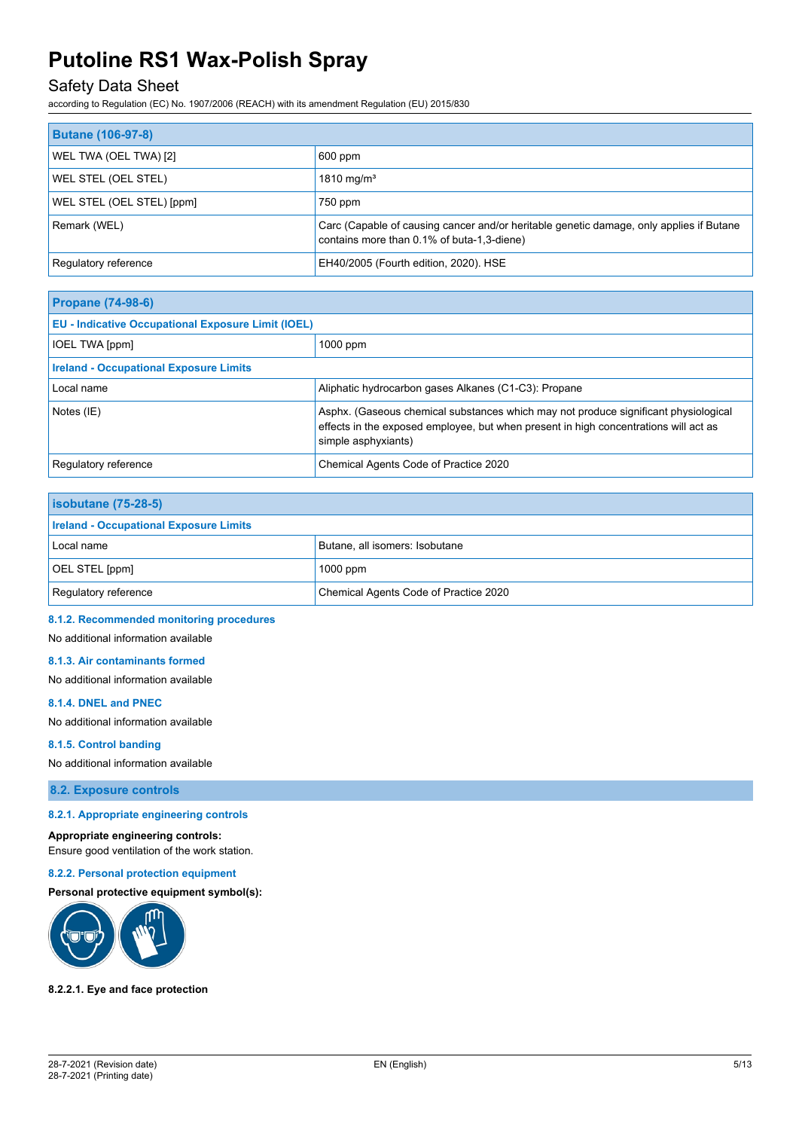## Safety Data Sheet

according to Regulation (EC) No. 1907/2006 (REACH) with its amendment Regulation (EU) 2015/830

| <b>Butane (106-97-8)</b>   |                                                                                                                                       |
|----------------------------|---------------------------------------------------------------------------------------------------------------------------------------|
| WEL TWA (OEL TWA) [2]      | 600 ppm                                                                                                                               |
| <b>WEL STEL (OEL STEL)</b> | 1810 mg/m <sup>3</sup>                                                                                                                |
| WEL STEL (OEL STEL) [ppm]  | 750 ppm                                                                                                                               |
| Remark (WEL)               | Carc (Capable of causing cancer and/or heritable genetic damage, only applies if Butane<br>contains more than 0.1% of buta-1,3-diene) |
| Regulatory reference       | EH40/2005 (Fourth edition, 2020). HSE                                                                                                 |

| <b>Propane (74-98-6)</b>                                  |                                                                                                                                                                                                    |  |
|-----------------------------------------------------------|----------------------------------------------------------------------------------------------------------------------------------------------------------------------------------------------------|--|
| <b>EU - Indicative Occupational Exposure Limit (IOEL)</b> |                                                                                                                                                                                                    |  |
| <b>IOEL TWA [ppm]</b>                                     | $1000$ ppm                                                                                                                                                                                         |  |
| <b>Ireland - Occupational Exposure Limits</b>             |                                                                                                                                                                                                    |  |
| Local name                                                | Aliphatic hydrocarbon gases Alkanes (C1-C3): Propane                                                                                                                                               |  |
| Notes (IE)                                                | Asphx. (Gaseous chemical substances which may not produce significant physiological<br>effects in the exposed employee, but when present in high concentrations will act as<br>simple asphyxiants) |  |
| Regulatory reference                                      | Chemical Agents Code of Practice 2020                                                                                                                                                              |  |

| <b>isobutane (75-28-5)</b>                    |                                       |
|-----------------------------------------------|---------------------------------------|
| <b>Ireland - Occupational Exposure Limits</b> |                                       |
| Local name                                    | Butane, all isomers: Isobutane        |
| OEL STEL [ppm]                                | $1000$ ppm                            |
| Regulatory reference                          | Chemical Agents Code of Practice 2020 |

#### **8.1.2. Recommended monitoring procedures**

No additional information available

#### **8.1.3. Air contaminants formed**

No additional information available

#### **8.1.4. DNEL and PNEC**

No additional information available

#### **8.1.5. Control banding**

No additional information available

**8.2. Exposure controls**

#### **8.2.1. Appropriate engineering controls**

#### **Appropriate engineering controls:**

Ensure good ventilation of the work station.

#### **8.2.2. Personal protection equipment**

#### **Personal protective equipment symbol(s):**



#### **8.2.2.1. Eye and face protection**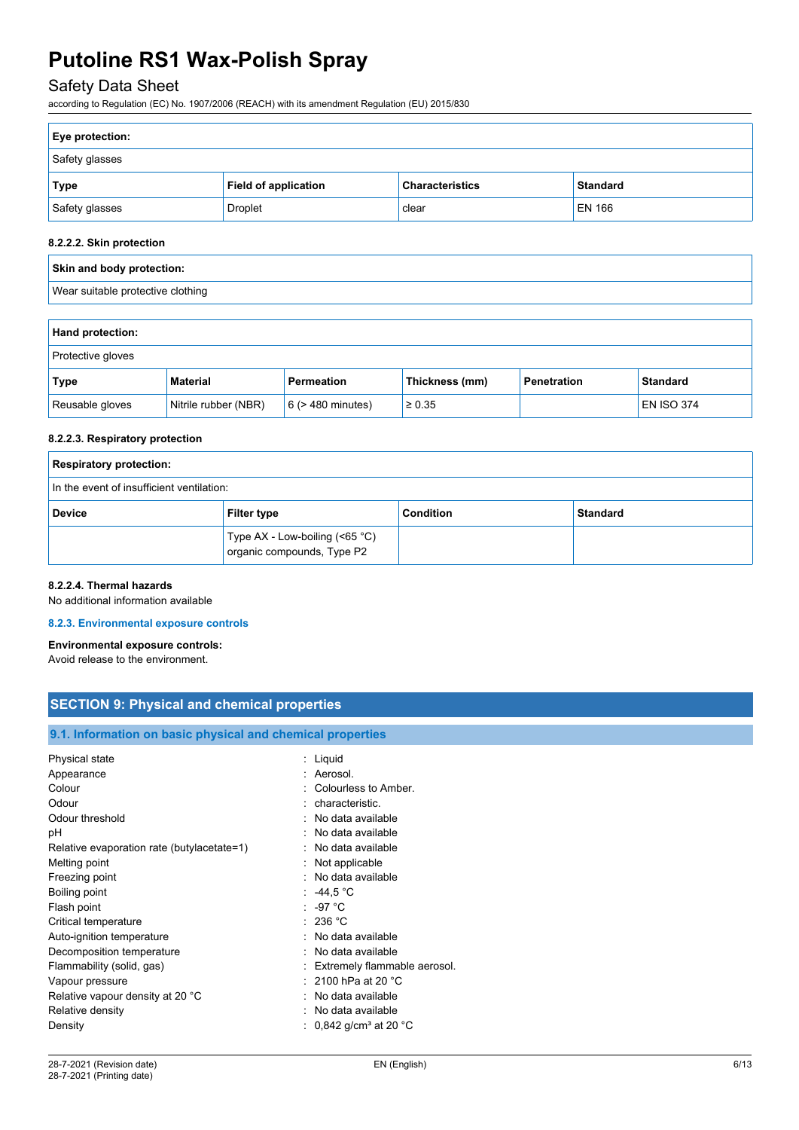## Safety Data Sheet

according to Regulation (EC) No. 1907/2006 (REACH) with its amendment Regulation (EU) 2015/830

| Eye protection: |                      |                        |                 |
|-----------------|----------------------|------------------------|-----------------|
| Safety glasses  |                      |                        |                 |
| Type            | Field of application | <b>Characteristics</b> | <b>Standard</b> |
| Safety glasses  | <b>Droplet</b>       | clear                  | EN 166          |

#### **8.2.2.2. Skin protection**

| Skin and body protection:         |  |
|-----------------------------------|--|
| Wear suitable protective clothing |  |

| <b>Hand protection:</b>  |                      |                        |                |             |                   |
|--------------------------|----------------------|------------------------|----------------|-------------|-------------------|
| <b>Protective gloves</b> |                      |                        |                |             |                   |
| Type                     | Material             | Permeation             | Thickness (mm) | Penetration | <b>Standard</b>   |
| Reusable gloves          | Nitrile rubber (NBR) | $6$ ( $>$ 480 minutes) | $\geq 0.35$    |             | <b>EN ISO 374</b> |

#### **8.2.2.3. Respiratory protection**

| <b>Respiratory protection:</b>                                 |                    |           |                 |
|----------------------------------------------------------------|--------------------|-----------|-----------------|
| In the event of insufficient ventilation:                      |                    |           |                 |
| <b>Device</b>                                                  | <b>Filter type</b> | Condition | <b>Standard</b> |
| Type AX - Low-boiling (<65 °C)<br>  organic compounds, Type P2 |                    |           |                 |

### **8.2.2.4. Thermal hazards**

No additional information available

#### **8.2.3. Environmental exposure controls**

### **Environmental exposure controls:**

Avoid release to the environment.

# **SECTION 9: Physical and chemical properties**

**9.1. Information on basic physical and chemical properties**

| <u>U.T. MINIMUNIN UN DASIG PHYSICAI ANU CHEMICAI PLOPENIES</u> |                                            |
|----------------------------------------------------------------|--------------------------------------------|
| Physical state                                                 | : Liquid                                   |
| Appearance                                                     | : Aerosol.                                 |
| Colour                                                         | : Colourless to Amber.                     |
| Odour                                                          | : characteristic.                          |
| Odour threshold                                                | : No data available                        |
| рH                                                             | No data available                          |
| Relative evaporation rate (butylacetate=1)                     | : No data available                        |
| Melting point                                                  | : Not applicable                           |
| Freezing point                                                 | : No data available                        |
| Boiling point                                                  | : 44.5 °C                                  |
| Flash point                                                    | $\therefore$ -97 °C                        |
| Critical temperature                                           | : 236 °C                                   |
| Auto-ignition temperature                                      | : No data available                        |
| Decomposition temperature                                      | : No data available                        |
| Flammability (solid, gas)                                      | : Extremely flammable aerosol.             |
| Vapour pressure                                                | : 2100 hPa at 20 $^{\circ}$ C              |
| Relative vapour density at 20 °C                               | : No data available                        |
| Relative density                                               | : No data available                        |
| Density                                                        | : 0,842 g/cm $^{\rm 3}$ at 20 $^{\rm o}$ C |
|                                                                |                                            |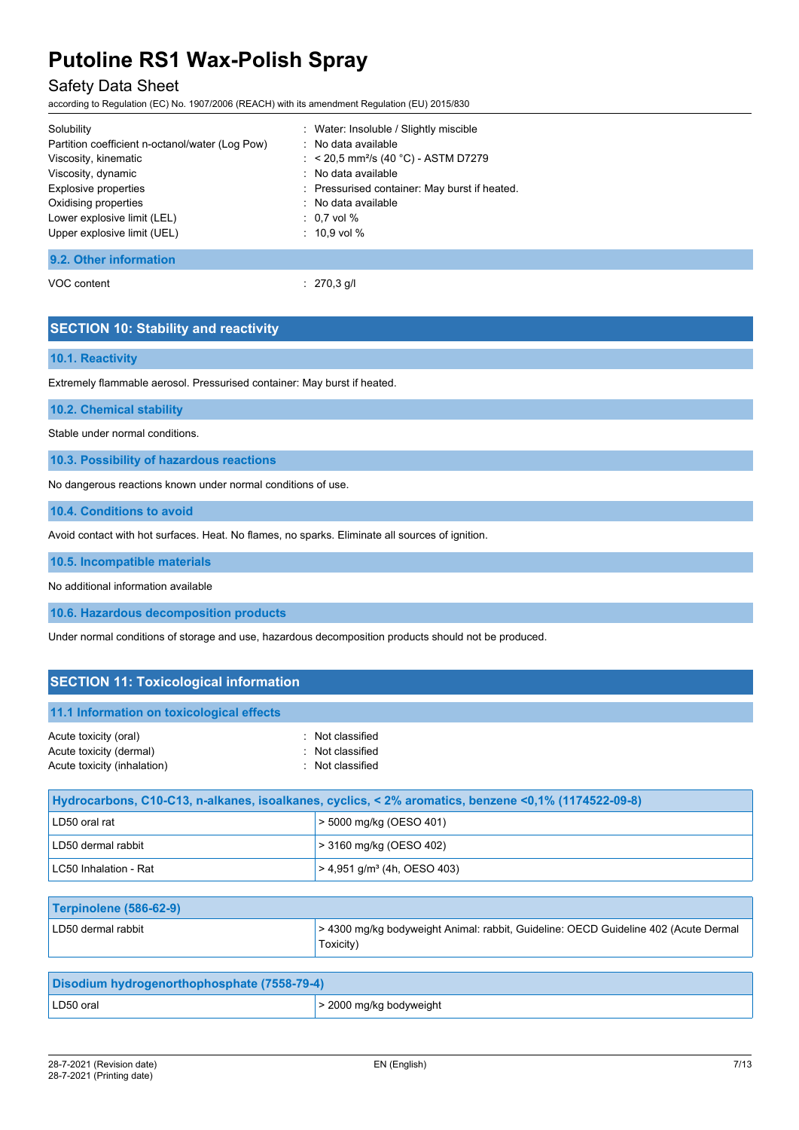## Safety Data Sheet

according to Regulation (EC) No. 1907/2006 (REACH) with its amendment Regulation (EU) 2015/830

| Solubility                                      | : Water: Insoluble / Slightly miscible           |
|-------------------------------------------------|--------------------------------------------------|
| Partition coefficient n-octanol/water (Log Pow) | : No data available                              |
| Viscosity, kinematic                            | : < 20,5 mm <sup>2</sup> /s (40 °C) - ASTM D7279 |
| Viscosity, dynamic                              | : No data available                              |
| Explosive properties                            | : Pressurised container: May burst if heated.    |
| Oxidising properties                            | : No data available                              |
| Lower explosive limit (LEL)                     | $:~$ 0.7 vol %                                   |
| Upper explosive limit (UEL)                     | $: 10.9$ vol $%$                                 |
|                                                 |                                                  |
| 9.2. Other information                          |                                                  |

VOC content : 270,3 g/l

### **SECTION 10: Stability and reactivity**

### **10.1. Reactivity**

Extremely flammable aerosol. Pressurised container: May burst if heated.

**10.2. Chemical stability**

Stable under normal conditions.

**10.3. Possibility of hazardous reactions**

No dangerous reactions known under normal conditions of use.

**10.4. Conditions to avoid**

Avoid contact with hot surfaces. Heat. No flames, no sparks. Eliminate all sources of ignition.

**10.5. Incompatible materials**

No additional information available

**10.6. Hazardous decomposition products**

Under normal conditions of storage and use, hazardous decomposition products should not be produced.

### **SECTION 11: Toxicological information**

#### **11.1 Information on toxicological effects**

| Acute toxicity (oral)       | : Not classified |
|-----------------------------|------------------|
| Acute toxicity (dermal)     | : Not classified |
| Acute toxicity (inhalation) | : Not classified |

| Hydrocarbons, C10-C13, n-alkanes, isoalkanes, cyclics, < 2% aromatics, benzene < 0,1% (1174522-09-8) |                                           |
|------------------------------------------------------------------------------------------------------|-------------------------------------------|
| LD50 oral rat                                                                                        | $>$ 5000 mg/kg (OESO 401)                 |
| LD50 dermal rabbit                                                                                   | $>$ 3160 mg/kg (OESO 402)                 |
| LC50 Inhalation - Rat                                                                                | $>$ 4,951 g/m <sup>3</sup> (4h, OESO 403) |

| Terpinolene (586-62-9) |                                                                                                  |
|------------------------|--------------------------------------------------------------------------------------------------|
| LD50 dermal rabbit     | > 4300 mg/kg bodyweight Animal: rabbit, Guideline: OECD Guideline 402 (Acute Dermal<br>Toxicity) |

| Disodium hydrogenorthophosphate (7558-79-4) |                              |
|---------------------------------------------|------------------------------|
| LD50 oral                                   | $\geq$ 2000 mg/kg bodyweight |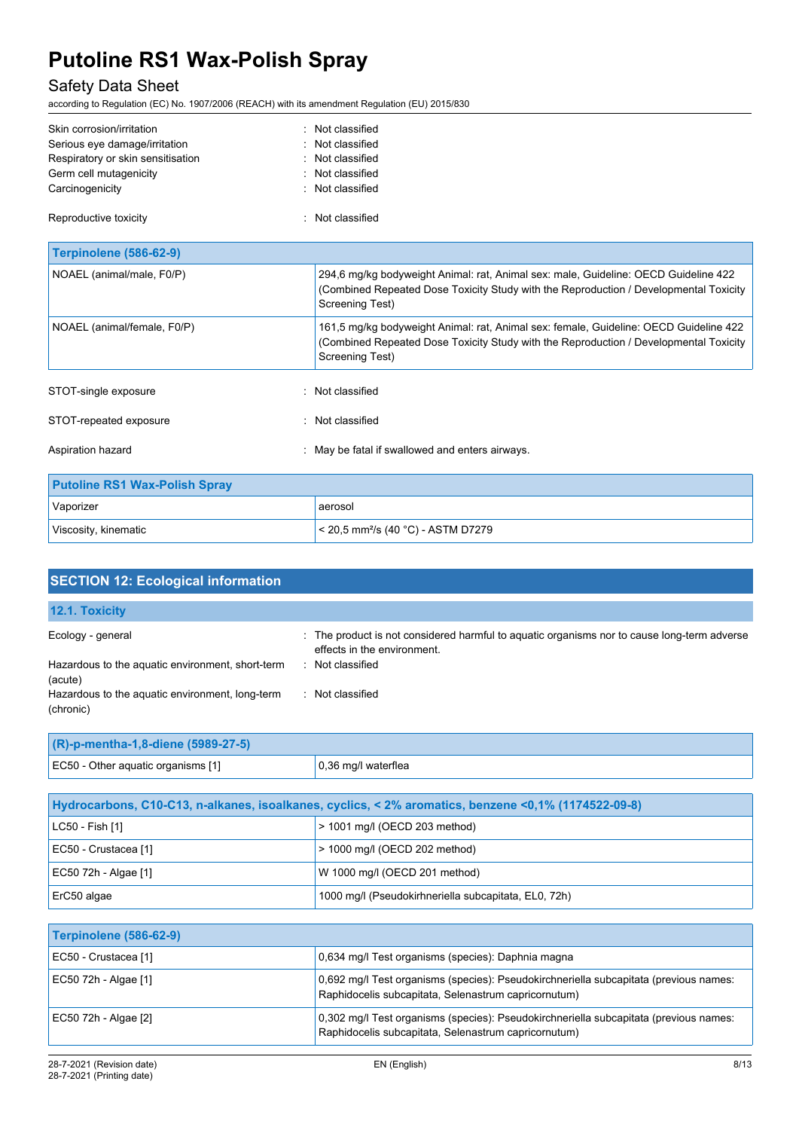# Safety Data Sheet

according to Regulation (EC) No. 1907/2006 (REACH) with its amendment Regulation (EU) 2015/830

| Skin corrosion/irritation<br>Serious eye damage/irritation<br>Respiratory or skin sensitisation<br>Germ cell mutagenicity<br>Carcinogenicity | Not classified<br>Not classified<br>Not classified<br>Not classified<br>Not classified                                                                                                            |
|----------------------------------------------------------------------------------------------------------------------------------------------|---------------------------------------------------------------------------------------------------------------------------------------------------------------------------------------------------|
| Reproductive toxicity                                                                                                                        | : Not classified                                                                                                                                                                                  |
| <b>Terpinolene (586-62-9)</b>                                                                                                                |                                                                                                                                                                                                   |
| NOAEL (animal/male, F0/P)                                                                                                                    | 294,6 mg/kg bodyweight Animal: rat, Animal sex: male, Guideline: OECD Guideline 422<br>(Combined Repeated Dose Toxicity Study with the Reproduction / Developmental Toxicity<br>Screening Test)   |
| NOAEL (animal/female, F0/P)                                                                                                                  | 161,5 mg/kg bodyweight Animal: rat, Animal sex: female, Guideline: OECD Guideline 422<br>(Combined Repeated Dose Toxicity Study with the Reproduction / Developmental Toxicity<br>Screening Test) |
| STOT-single exposure                                                                                                                         | Not classified                                                                                                                                                                                    |
| STOT-repeated exposure                                                                                                                       | : Not classified                                                                                                                                                                                  |
| Aspiration hazard                                                                                                                            | May be fatal if swallowed and enters airways.                                                                                                                                                     |
| <b>Putoline RS1 Wax-Polish Spray</b>                                                                                                         |                                                                                                                                                                                                   |
| Vaporizer                                                                                                                                    | aerosol                                                                                                                                                                                           |
| Viscosity, kinematic                                                                                                                         | < 20,5 mm <sup>2</sup> /s (40 °C) - ASTM D7279                                                                                                                                                    |

| <b>SECTION 12: Ecological information</b>                    |                                                                                                                            |
|--------------------------------------------------------------|----------------------------------------------------------------------------------------------------------------------------|
| 12.1. Toxicity                                               |                                                                                                                            |
| Ecology - general                                            | : The product is not considered harmful to aquatic organisms nor to cause long-term adverse<br>effects in the environment. |
| Hazardous to the aquatic environment, short-term<br>(acute)  | Not classified                                                                                                             |
| Hazardous to the aquatic environment, long-term<br>(chronic) | Not classified<br>$\sim$                                                                                                   |

| $(R)$ -p-mentha-1,8-diene (5989-27-5) |                             |
|---------------------------------------|-----------------------------|
| EC50 - Other aquatic organisms [1]    | $\vert$ 0,36 mg/l waterflea |

| Hydrocarbons, C10-C13, n-alkanes, isoalkanes, cyclics, < 2% aromatics, benzene < 0,1% (1174522-09-8) |                                                      |  |  |
|------------------------------------------------------------------------------------------------------|------------------------------------------------------|--|--|
| LC50 - Fish [1]                                                                                      | $>$ 1001 mg/l (OECD 203 method)                      |  |  |
| EC50 - Crustacea [1]                                                                                 | $>$ 1000 mg/l (OECD 202 method)                      |  |  |
| EC50 72h - Algae [1]                                                                                 | W 1000 mg/l (OECD 201 method)                        |  |  |
| ErC50 algae                                                                                          | 1000 mg/l (Pseudokirhneriella subcapitata, EL0, 72h) |  |  |

| Terpinolene (586-62-9) |                                                                                                                                               |
|------------------------|-----------------------------------------------------------------------------------------------------------------------------------------------|
| EC50 - Crustacea [1]   | 0.634 mg/l Test organisms (species): Daphnia magna                                                                                            |
| EC50 72h - Algae [1]   | 0,692 mg/l Test organisms (species): Pseudokirchneriella subcapitata (previous names:<br>Raphidocelis subcapitata, Selenastrum capricornutum) |
| EC50 72h - Algae [2]   | 0,302 mg/l Test organisms (species): Pseudokirchneriella subcapitata (previous names:<br>Raphidocelis subcapitata, Selenastrum capricornutum) |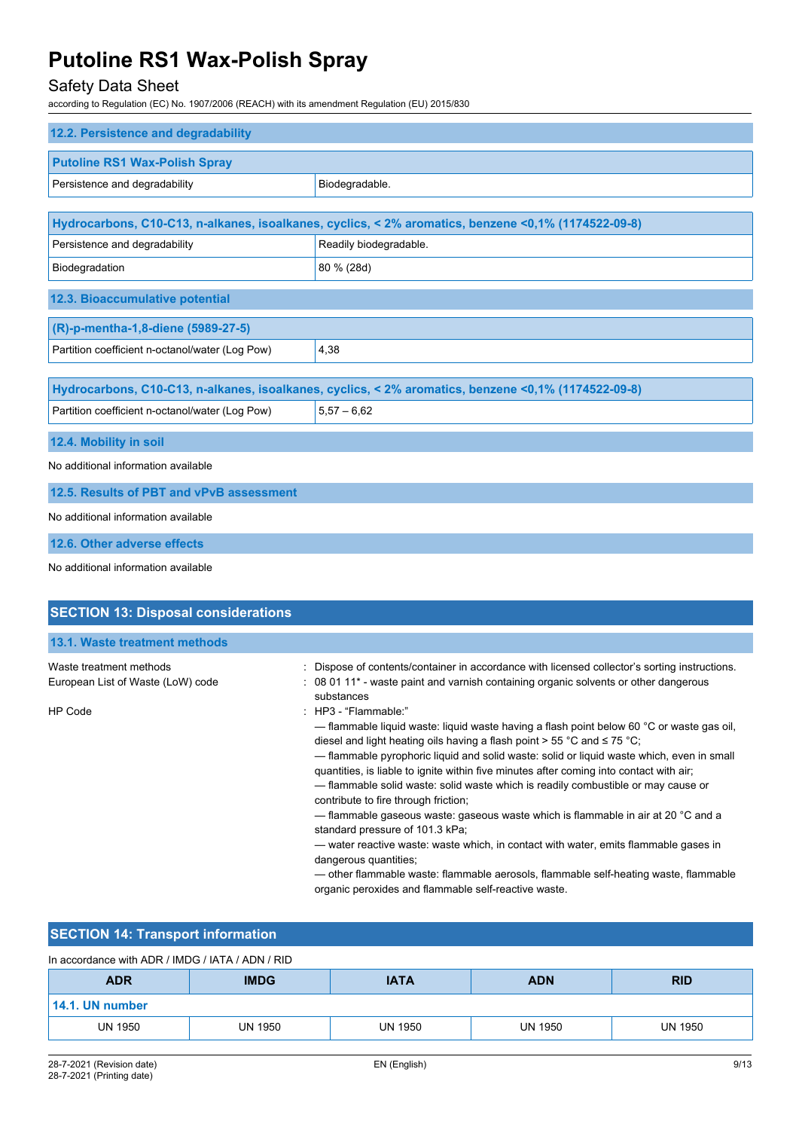# Safety Data Sheet

according to Regulation (EC) No. 1907/2006 (REACH) with its amendment Regulation (EU) 2015/830

| 12.2. Persistence and degradability             |                                                                                                      |
|-------------------------------------------------|------------------------------------------------------------------------------------------------------|
| <b>Putoline RS1 Wax-Polish Spray</b>            |                                                                                                      |
| Persistence and degradability                   | Biodegradable.                                                                                       |
|                                                 |                                                                                                      |
|                                                 | Hydrocarbons, C10-C13, n-alkanes, isoalkanes, cyclics, < 2% aromatics, benzene < 0,1% (1174522-09-8) |
| Persistence and degradability                   | Readily biodegradable.                                                                               |
| Biodegradation                                  | 80 % (28d)                                                                                           |
| 12.3. Bioaccumulative potential                 |                                                                                                      |
| (R)-p-mentha-1,8-diene (5989-27-5)              |                                                                                                      |
| Partition coefficient n-octanol/water (Log Pow) | 4,38                                                                                                 |
|                                                 |                                                                                                      |
|                                                 | Hydrocarbons, C10-C13, n-alkanes, isoalkanes, cyclics, < 2% aromatics, benzene <0,1% (1174522-09-8)  |
| Partition coefficient n-octanol/water (Log Pow) | $5,57 - 6,62$                                                                                        |
| 12.4. Mobility in soil                          |                                                                                                      |
| No additional information available             |                                                                                                      |
| 12.5. Results of PBT and vPvB assessment        |                                                                                                      |
| No additional information available             |                                                                                                      |
| 12.6. Other adverse effects                     |                                                                                                      |
| No additional information available             |                                                                                                      |

| <b>SECTION 13: Disposal considerations</b>                   |                                                                                                                                                                                                                                                                                                                                                                                                                                                                                                                                            |
|--------------------------------------------------------------|--------------------------------------------------------------------------------------------------------------------------------------------------------------------------------------------------------------------------------------------------------------------------------------------------------------------------------------------------------------------------------------------------------------------------------------------------------------------------------------------------------------------------------------------|
|                                                              |                                                                                                                                                                                                                                                                                                                                                                                                                                                                                                                                            |
| 13.1. Waste treatment methods                                |                                                                                                                                                                                                                                                                                                                                                                                                                                                                                                                                            |
| Waste treatment methods<br>European List of Waste (LoW) code | : Dispose of contents/container in accordance with licensed collector's sorting instructions.<br>: 08 01 11 <sup>*</sup> - waste paint and varnish containing organic solvents or other dangerous<br>substances                                                                                                                                                                                                                                                                                                                            |
| <b>HP Code</b>                                               | $\therefore$ HP3 - "Flammable."<br>— flammable liquid waste: liquid waste having a flash point below 60 $\degree$ C or waste gas oil,<br>diesel and light heating oils having a flash point > 55 °C and $\leq$ 75 °C;<br>- flammable pyrophoric liquid and solid waste: solid or liquid waste which, even in small<br>quantities, is liable to ignite within five minutes after coming into contact with air;<br>- flammable solid waste: solid waste which is readily combustible or may cause or<br>contribute to fire through friction; |
|                                                              | — flammable gaseous waste: gaseous waste which is flammable in air at 20 °C and a<br>standard pressure of 101.3 kPa;<br>— water reactive waste: waste which, in contact with water, emits flammable gases in<br>dangerous quantities;<br>— other flammable waste: flammable aerosols, flammable self-heating waste, flammable<br>organic peroxides and flammable self-reactive waste.                                                                                                                                                      |

# **SECTION 14: Transport information**

| In accordance with ADR / IMDG / IATA / ADN / RID |                |             |                |            |  |  |
|--------------------------------------------------|----------------|-------------|----------------|------------|--|--|
| <b>ADR</b>                                       | <b>IMDG</b>    | <b>IATA</b> | <b>ADN</b>     | <b>RID</b> |  |  |
| 14.1. UN number                                  |                |             |                |            |  |  |
| <b>UN 1950</b>                                   | <b>UN 1950</b> | UN 1950     | <b>UN 1950</b> | UN 1950    |  |  |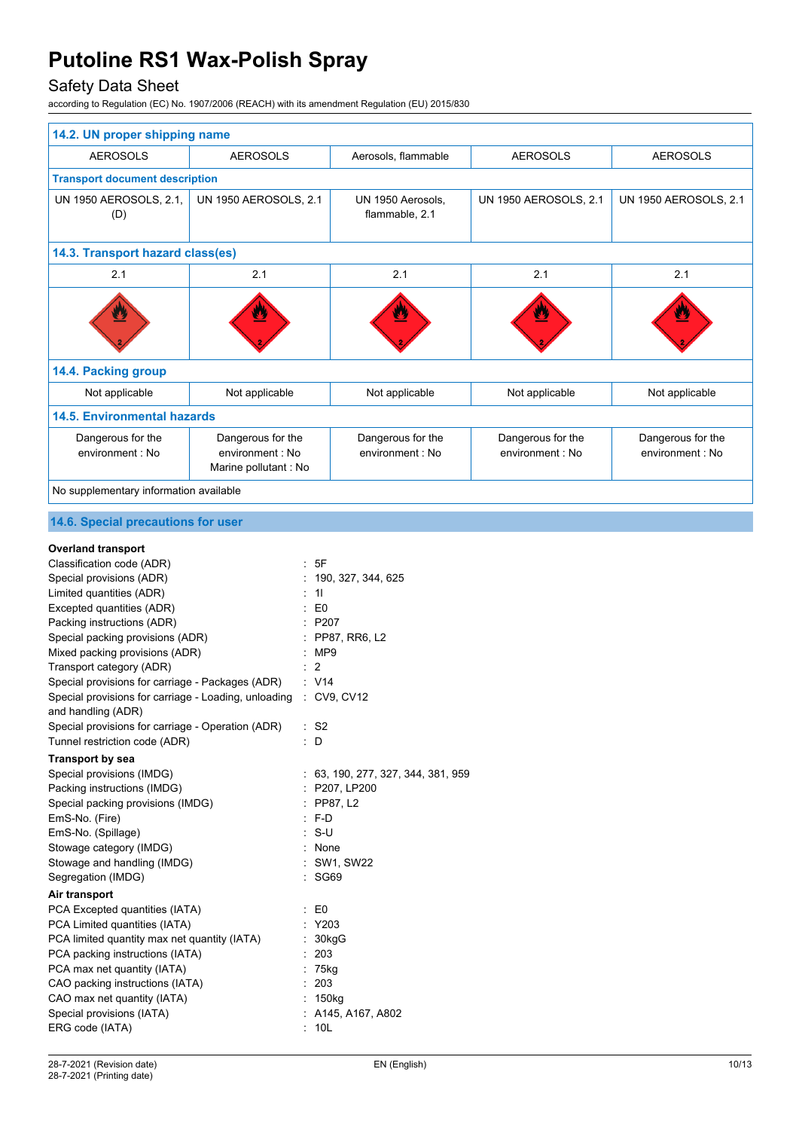# Safety Data Sheet

according to Regulation (EC) No. 1907/2006 (REACH) with its amendment Regulation (EU) 2015/830

| 14.2. UN proper shipping name          |                                                                |                                       |                                             |                                             |
|----------------------------------------|----------------------------------------------------------------|---------------------------------------|---------------------------------------------|---------------------------------------------|
| <b>AEROSOLS</b>                        | <b>AEROSOLS</b>                                                | Aerosols, flammable                   | <b>AEROSOLS</b>                             | <b>AEROSOLS</b>                             |
| <b>Transport document description</b>  |                                                                |                                       |                                             |                                             |
| UN 1950 AEROSOLS, 2.1,<br>(D)          | <b>UN 1950 AEROSOLS, 2.1</b>                                   | UN 1950 Aerosols,<br>flammable, 2.1   | <b>UN 1950 AEROSOLS, 2.1</b>                | UN 1950 AEROSOLS, 2.1                       |
| 14.3. Transport hazard class(es)       |                                                                |                                       |                                             |                                             |
| 2.1                                    | 2.1                                                            | 2.1                                   | 2.1                                         | 2.1                                         |
|                                        |                                                                |                                       | Δ                                           |                                             |
| 14.4. Packing group                    |                                                                |                                       |                                             |                                             |
| Not applicable                         | Not applicable                                                 | Not applicable                        | Not applicable                              | Not applicable                              |
| <b>14.5. Environmental hazards</b>     |                                                                |                                       |                                             |                                             |
| Dangerous for the<br>environment · No  | Dangerous for the<br>environment · No<br>Marine pollutant : No | Dangerous for the<br>environment · No | Dangerous for the<br>$environment \cdot No$ | Dangerous for the<br>$environment \cdot No$ |
| No supplementary information available |                                                                |                                       |                                             |                                             |

### **14.6. Special precautions for user**

### **Overland transport**

| Classification code (ADR)                                                              |   | : 5F                               |
|----------------------------------------------------------------------------------------|---|------------------------------------|
| Special provisions (ADR)                                                               |   | 190, 327, 344, 625                 |
| Limited quantities (ADR)                                                               |   | 11                                 |
| Excepted quantities (ADR)                                                              |   | $\therefore$ EO                    |
| Packing instructions (ADR)                                                             |   | : P207                             |
| Special packing provisions (ADR)                                                       |   | : PP87, RR6, L2                    |
| Mixed packing provisions (ADR)                                                         |   | :MP9                               |
| Transport category (ADR)                                                               |   | 2                                  |
| Special provisions for carriage - Packages (ADR)                                       |   | : V14                              |
| Special provisions for carriage - Loading, unloading : CV9, CV12<br>and handling (ADR) |   |                                    |
| Special provisions for carriage - Operation (ADR)                                      |   | $:$ S <sub>2</sub>                 |
| Tunnel restriction code (ADR)                                                          |   | : D                                |
| Transport by sea                                                                       |   |                                    |
| Special provisions (IMDG)                                                              |   | : 63, 190, 277, 327, 344, 381, 959 |
| Packing instructions (IMDG)                                                            |   | : P207, LP200                      |
| Special packing provisions (IMDG)                                                      |   | $:$ PP87, L2                       |
| EmS-No. (Fire)                                                                         |   | $: F-D$                            |
| EmS-No. (Spillage)                                                                     |   | $: S-U$                            |
| Stowage category (IMDG)                                                                |   | : None                             |
| Stowage and handling (IMDG)                                                            |   | : SW1, SW22                        |
| Segregation (IMDG)                                                                     |   | SG69                               |
| Air transport                                                                          |   |                                    |
| PCA Excepted quantities (IATA)                                                         |   | $\mathbf{E}$ E0                    |
| PCA Limited quantities (IATA)                                                          |   | : Y203                             |
| PCA limited quantity max net quantity (IATA)                                           |   | : 30kgG                            |
| PCA packing instructions (IATA)                                                        |   | : 203                              |
| PCA max net quantity (IATA)                                                            |   | 75kg                               |
| CAO packing instructions (IATA)                                                        | ÷ | 203                                |
| CAO max net quantity (IATA)                                                            |   | $: 150$ kg                         |
| Special provisions (IATA)                                                              |   | : A145, A167, A802                 |
| ERG code (IATA)                                                                        |   | 10 <sub>L</sub>                    |
|                                                                                        |   |                                    |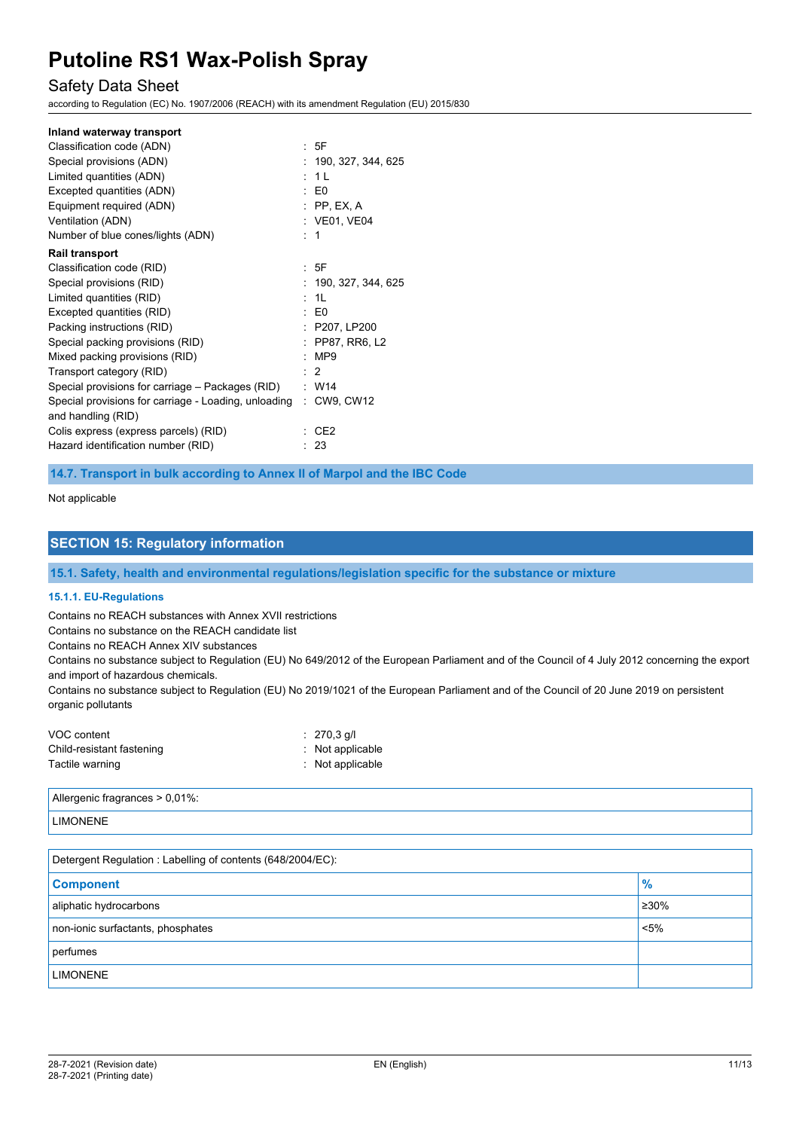## Safety Data Sheet

according to Regulation (EC) No. 1907/2006 (REACH) with its amendment Regulation (EU) 2015/830

#### **Inland waterway transport**

| Classification code (ADN)                            | : 5F                 |
|------------------------------------------------------|----------------------|
| Special provisions (ADN)                             | : 190, 327, 344, 625 |
| Limited quantities (ADN)                             | : 1L                 |
| Excepted quantities (ADN)                            | $\mathbf{E}$ EO      |
| Equipment required (ADN)                             | $:$ PP, EX, A        |
| Ventilation (ADN)                                    | : VE01, VE04         |
| Number of blue cones/lights (ADN)                    | : 1                  |
| <b>Rail transport</b>                                |                      |
| Classification code (RID)                            | : 5F                 |
| Special provisions (RID)                             | : 190, 327, 344, 625 |
| Limited quantities (RID)                             | : 1L                 |
| Excepted quantities (RID)                            | $\mathbf{E}$ EO      |
| Packing instructions (RID)                           | : P207, LP200        |
| Special packing provisions (RID)                     | : PP87, RR6, L2      |
| Mixed packing provisions (RID)                       | :MP9                 |
| Transport category (RID)                             | $\therefore$ 2       |
| Special provisions for carriage – Packages (RID)     | : W14                |
| Special provisions for carriage - Loading, unloading | : CW9, CW12          |
| and handling (RID)                                   |                      |
| Colis express (express parcels) (RID)                | CE2                  |
| Hazard identification number (RID)                   | -23                  |
|                                                      |                      |

**14.7. Transport in bulk according to Annex II of Marpol and the IBC Code**

#### Not applicable

### **SECTION 15: Regulatory information**

**15.1. Safety, health and environmental regulations/legislation specific for the substance or mixture**

#### **15.1.1. EU-Regulations**

Contains no REACH substances with Annex XVII restrictions

Contains no substance on the REACH candidate list

Contains no REACH Annex XIV substances

Contains no substance subject to Regulation (EU) No 649/2012 of the European Parliament and of the Council of 4 July 2012 concerning the export and import of hazardous chemicals.

Contains no substance subject to Regulation (EU) No 2019/1021 of the European Parliament and of the Council of 20 June 2019 on persistent organic pollutants

| VOC content               | $: 270.3$ g/l               |
|---------------------------|-----------------------------|
| Child-resistant fastening | $:$ Not applicable          |
| Tactile warning           | $\therefore$ Not applicable |

Allergenic fragrances > 0,01%:

#### LIMONENE

| Detergent Regulation : Labelling of contents (648/2004/EC): |             |  |  |
|-------------------------------------------------------------|-------------|--|--|
| <b>Component</b>                                            | $\%$        |  |  |
| aliphatic hydrocarbons                                      | $\geq 30\%$ |  |  |
| non-ionic surfactants, phosphates                           | $< 5\%$     |  |  |
| perfumes                                                    |             |  |  |
| <b>LIMONENE</b>                                             |             |  |  |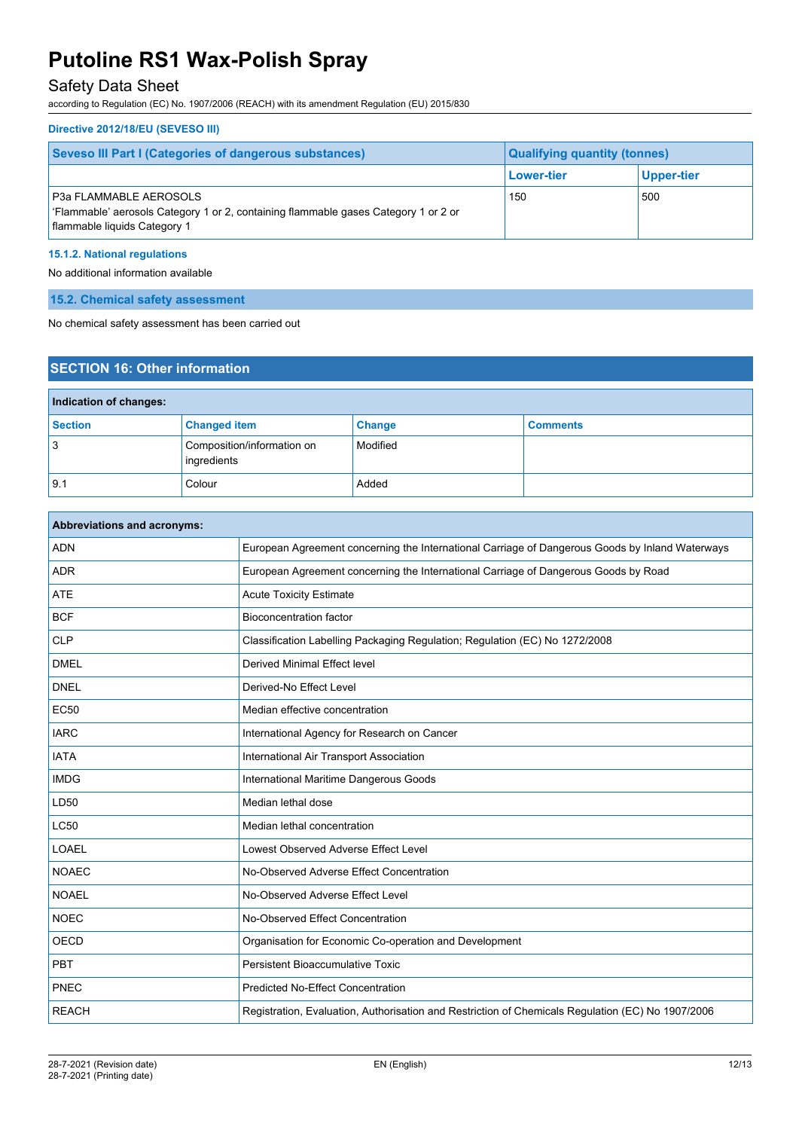## Safety Data Sheet

according to Regulation (EC) No. 1907/2006 (REACH) with its amendment Regulation (EU) 2015/830

#### **Directive 2012/18/EU (SEVESO III)**

| <b>Seveso III Part I (Categories of dangerous substances)</b>                                                                                         | <b>Qualifying quantity (tonnes)</b> |            |
|-------------------------------------------------------------------------------------------------------------------------------------------------------|-------------------------------------|------------|
|                                                                                                                                                       | <b>Lower-tier</b>                   | Upper-tier |
| <b>P3a FLAMMABLE AEROSOLS</b><br>' Flammable' aerosols Category 1 or 2, containing flammable gases Category 1 or 2 or<br>flammable liquids Category 1 | 150                                 | 500        |

### **15.1.2. National regulations**

No additional information available

**15.2. Chemical safety assessment**

No chemical safety assessment has been carried out

## **SECTION 16: Other information**

| Indication of changes: |                                           |          |                 |  |
|------------------------|-------------------------------------------|----------|-----------------|--|
| <b>Section</b>         | <b>Changed item</b>                       | Change   | <b>Comments</b> |  |
| 3                      | Composition/information on<br>ingredients | Modified |                 |  |
| 9.1                    | Colour                                    | Added    |                 |  |

| <b>Abbreviations and acronyms:</b> |                                                                                                   |  |
|------------------------------------|---------------------------------------------------------------------------------------------------|--|
| <b>ADN</b>                         | European Agreement concerning the International Carriage of Dangerous Goods by Inland Waterways   |  |
| <b>ADR</b>                         | European Agreement concerning the International Carriage of Dangerous Goods by Road               |  |
| <b>ATE</b>                         | <b>Acute Toxicity Estimate</b>                                                                    |  |
| <b>BCF</b>                         | <b>Bioconcentration factor</b>                                                                    |  |
| <b>CLP</b>                         | Classification Labelling Packaging Regulation; Regulation (EC) No 1272/2008                       |  |
| <b>DMEL</b>                        | <b>Derived Minimal Effect level</b>                                                               |  |
| <b>DNEL</b>                        | Derived-No Effect Level                                                                           |  |
| <b>EC50</b>                        | Median effective concentration                                                                    |  |
| <b>IARC</b>                        | International Agency for Research on Cancer                                                       |  |
| <b>IATA</b>                        | International Air Transport Association                                                           |  |
| <b>IMDG</b>                        | International Maritime Dangerous Goods                                                            |  |
| LD50                               | Median lethal dose                                                                                |  |
| <b>LC50</b>                        | Median lethal concentration                                                                       |  |
| LOAEL                              | Lowest Observed Adverse Effect Level                                                              |  |
| <b>NOAEC</b>                       | No-Observed Adverse Effect Concentration                                                          |  |
| <b>NOAEL</b>                       | No-Observed Adverse Effect Level                                                                  |  |
| <b>NOEC</b>                        | No-Observed Effect Concentration                                                                  |  |
| <b>OECD</b>                        | Organisation for Economic Co-operation and Development                                            |  |
| <b>PBT</b>                         | Persistent Bioaccumulative Toxic                                                                  |  |
| PNEC                               | <b>Predicted No-Effect Concentration</b>                                                          |  |
| <b>REACH</b>                       | Registration, Evaluation, Authorisation and Restriction of Chemicals Regulation (EC) No 1907/2006 |  |
|                                    |                                                                                                   |  |